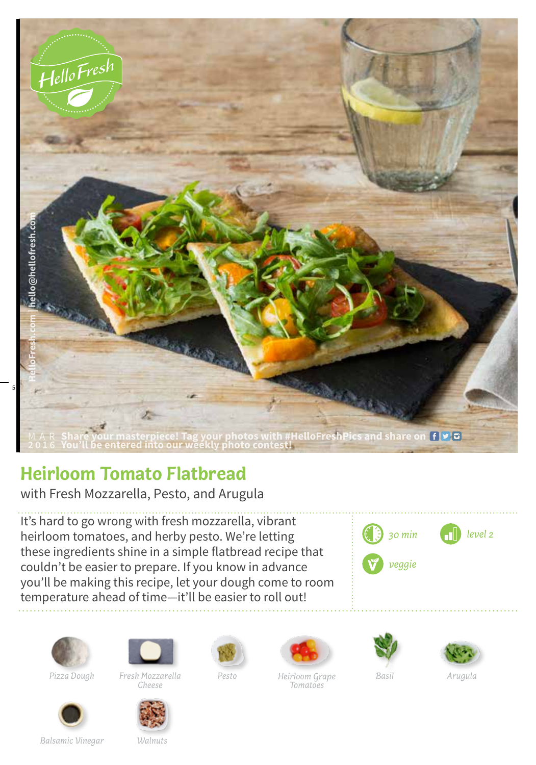

## **Heirloom Tomato Flatbread**

with Fresh Mozzarella, Pesto, and Arugula

It's hard to go wrong with fresh mozzarella, vibrant heirloom tomatoes, and herby pesto. We're letting these ingredients shine in a simple flatbread recipe that couldn't be easier to prepare. If you know in advance you'll be making this recipe, let your dough come to room temperature ahead of time—it'll be easier to roll out!











*Pizza Dough Fresh Mozzarella Pesto Basil Cheese Heirloom Grape Arugula Tomatoes*





*Balsamic Vinegar Walnuts*